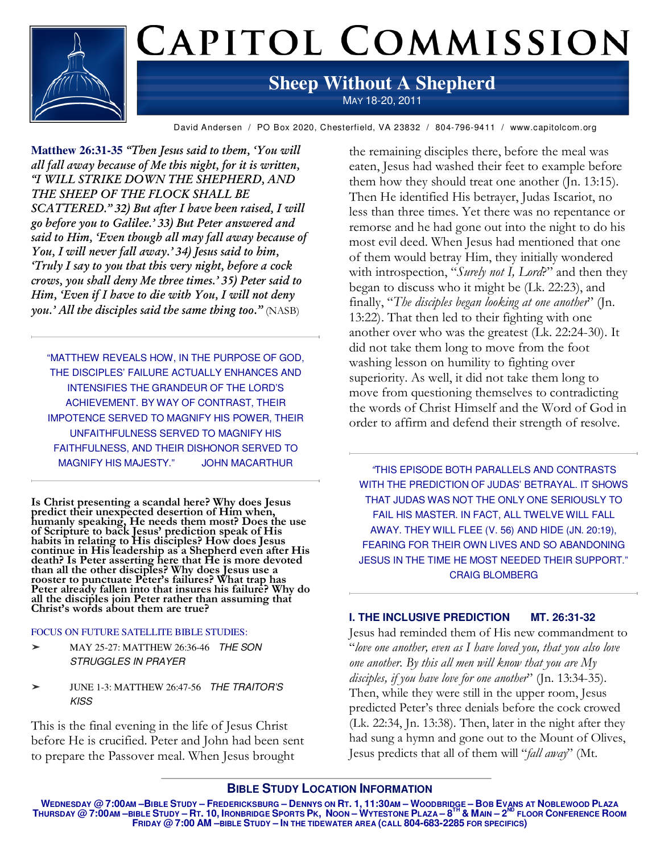

# CAPITOL COMMISSION

### **Sheep Without A Shepherd**  MAY 18-20, 2011

David Andersen / PO Box 2020, Chesterfield, VA 23832 / 804-796-9411 / www.capitolcom.org

**Matthew 26:31-35** *"Then Jesus said to them, 'You will all fall away because of Me this night, for it is written, "I WILL STRIKE DOWN THE SHEPHERD, AND THE SHEEP OF THE FLOCK SHALL BE SCATTERED." 32) But after I have been raised, I will go before you to Galilee.' 33) But Peter answered and said to Him, 'Even though all may fall away because of You, I will never fall away.' 34) Jesus said to him, 'Truly I say to you that this very night, before a cock crows, you shall deny Me three times.' 35) Peter said to Him, 'Even if I have to die with You, I will not deny you.' All the disciples said the same thing too."* (NASB)

"MATTHEW REVEALS HOW, IN THE PURPOSE OF GOD, THE DISCIPLES' FAILURE ACTUALLY ENHANCES AND INTENSIFIES THE GRANDEUR OF THE LORD'S ACHIEVEMENT. BY WAY OF CONTRAST, THEIR IMPOTENCE SERVED TO MAGNIFY HIS POWER, THEIR UNFAITHFULNESS SERVED TO MAGNIFY HIS FAITHFULNESS, AND THEIR DISHONOR SERVED TO MAGNIFY HIS MAJESTY." JOHN MACARTHUR

**Is Christ presenting a scandal here? Why does Jesus predict their unexpected desertion of Him when, humanly speaking, He needs them most? Does the use of Scripture to back Jesus' prediction speak of His habits in relating to His disciples? How does Jesus continue in His leadership as a Shepherd even after His death? Is Peter asserting here that He is more devoted than all the other disciples? Why does Jesus use a rooster to punctuate Peter's failures? What trap has Peter already fallen into that insures his failure? Why do all the disciples join Peter rather than assuming that Christ's words about them are true?** 

### FOCUS ON FUTURE SATELLITE BIBLE STUDIES:

- ➤ MAY 25-27: MATTHEW 26:36-46 THE SON STRUGGLES IN PRAYER
- ➤ JUNE 1-3: MATTHEW 26:47-56 THE TRAITOR'S KISS

This is the final evening in the life of Jesus Christ before He is crucified. Peter and John had been sent to prepare the Passover meal. When Jesus brought

the remaining disciples there, before the meal was eaten, Jesus had washed their feet to example before them how they should treat one another (Jn. 13:15). Then He identified His betrayer, Judas Iscariot, no less than three times. Yet there was no repentance or remorse and he had gone out into the night to do his most evil deed. When Jesus had mentioned that one of them would betray Him, they initially wondered with introspection, "*Surely not I, Lord*?" and then they began to discuss who it might be (Lk. 22:23), and finally, "*The disciples began looking at one another*" (Jn. 13:22). That then led to their fighting with one another over who was the greatest (Lk. 22:24-30). It did not take them long to move from the foot washing lesson on humility to fighting over superiority. As well, it did not take them long to move from questioning themselves to contradicting the words of Christ Himself and the Word of God in order to affirm and defend their strength of resolve.

"THIS EPISODE BOTH PARALLELS AND CONTRASTS WITH THE PREDICTION OF JUDAS' BETRAYAL. IT SHOWS THAT JUDAS WAS NOT THE ONLY ONE SERIOUSLY TO FAIL HIS MASTER. IN FACT, ALL TWELVE WILL FALL AWAY. THEY WILL FLEE (V. 56) AND HIDE (JN. 20:19), FEARING FOR THEIR OWN LIVES AND SO ABANDONING JESUS IN THE TIME HE MOST NEEDED THEIR SUPPORT." CRAIG BLOMBERG

### **I. THE INCLUSIVE PREDICTION MT. 26:31-32**

Jesus had reminded them of His new commandment to "*love one another, even as I have loved you, that you also love one another. By this all men will know that you are My disciples, if you have love for one another*" (Jn. 13:34-35). Then, while they were still in the upper room, Jesus predicted Peter's three denials before the cock crowed (Lk. 22:34, Jn. 13:38). Then, later in the night after they had sung a hymn and gone out to the Mount of Olives, Jesus predicts that all of them will "*fall away*" (Mt.

**BIBLE STUDY LOCATION INFORMATION**

WEDNESDAY @ 7:00AM —BIBLE STUDY — FREDERICKSBURG — DENNYS ON RT. 1, 11:30AM — WOODBRIDGE — BOB EVANS AT NOBLEWOOD PLAZA Thursday @ 7:00am —bible Study — Rt. 10, Ironbridge Sports Pk, Noon — Wytestone Plaza — 8<sup>th</sup> & Main — 2<sup>nd</sup> Floor Conference Room **FRIDAY @ 7:00 AM –BIBLE STUDY – IN THE TIDEWATER AREA (CALL 804-683-2285 FOR SPECIFICS)**